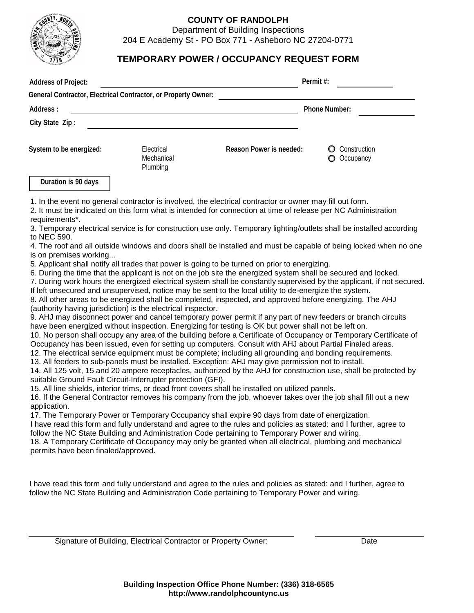

## **COUNTY OF RANDOLPH**

Department of Building Inspections

204 E Academy St - PO Box 771 - Asheboro NC 27204-0771

## **TEMPORARY POWER / OCCUPANCY REQUEST FORM**

| <b>Address of Project:</b> |                                                               |                                                                                                                                                                                                                           | Permit#:                  |  |
|----------------------------|---------------------------------------------------------------|---------------------------------------------------------------------------------------------------------------------------------------------------------------------------------------------------------------------------|---------------------------|--|
|                            | General Contractor, Electrical Contractor, or Property Owner: |                                                                                                                                                                                                                           |                           |  |
| Address:                   |                                                               | <b>Phone Number:</b>                                                                                                                                                                                                      |                           |  |
| City State Zip:            |                                                               |                                                                                                                                                                                                                           |                           |  |
| System to be energized:    | Electrical<br>Mechanical<br>Plumbing                          | Reason Power is needed:                                                                                                                                                                                                   | Construction<br>Occupancy |  |
| Duration is 90 days        |                                                               |                                                                                                                                                                                                                           |                           |  |
|                            |                                                               | 1. In the event no general contractor is involved, the electrical contractor or owner may fill out form.<br>2. It must be indicated on this form what is intended for connection at time of release per NC Administration |                           |  |

requirements\*.

3. Temporary electrical service is for construction use only. Temporary lighting/outlets shall be installed according to NEC 590.

4. The roof and all outside windows and doors shall be installed and must be capable of being locked when no one is on premises working...

5. Applicant shall notify all trades that power is going to be turned on prior to energizing.

6. During the time that the applicant is not on the job site the energized system shall be secured and locked.

7. During work hours the energized electrical system shall be constantly supervised by the applicant, if not secured. If left unsecured and unsupervised, notice may be sent to the local utility to de-energize the system.

8. All other areas to be energized shall be completed, inspected, and approved before energizing. The AHJ (authority having jurisdiction) is the electrical inspector.

9. AHJ may disconnect power and cancel temporary power permit if any part of new feeders or branch circuits have been energized without inspection. Energizing for testing is OK but power shall not be left on.

10. No person shall occupy any area of the building before a Certificate of Occupancy or Temporary Certificate of Occupancy has been issued, even for setting up computers. Consult with AHJ about Partial Finaled areas.

12. The electrical service equipment must be complete; including all grounding and bonding requirements.

13. All feeders to sub-panels must be installed. Exception: AHJ may give permission not to install.

14. All 125 volt, 15 and 20 ampere receptacles, authorized by the AHJ for construction use, shall be protected by suitable Ground Fault Circuit-Interrupter protection (GFI).

15. All line shields, interior trims, or dead front covers shall be installed on utilized panels.

16. If the General Contractor removes his company from the job, whoever takes over the job shall fill out a new application.

17. The Temporary Power or Temporary Occupancy shall expire 90 days from date of energization.

I have read this form and fully understand and agree to the rules and policies as stated: and I further, agree to follow the NC State Building and Administration Code pertaining to Temporary Power and wiring.

18. A Temporary Certificate of Occupancy may only be granted when all electrical, plumbing and mechanical permits have been finaled/approved.

I have read this form and fully understand and agree to the rules and policies as stated: and I further, agree to follow the NC State Building and Administration Code pertaining to Temporary Power and wiring.

Signature of Building, Electrical Contractor or Property Owner: Deterministic and Date